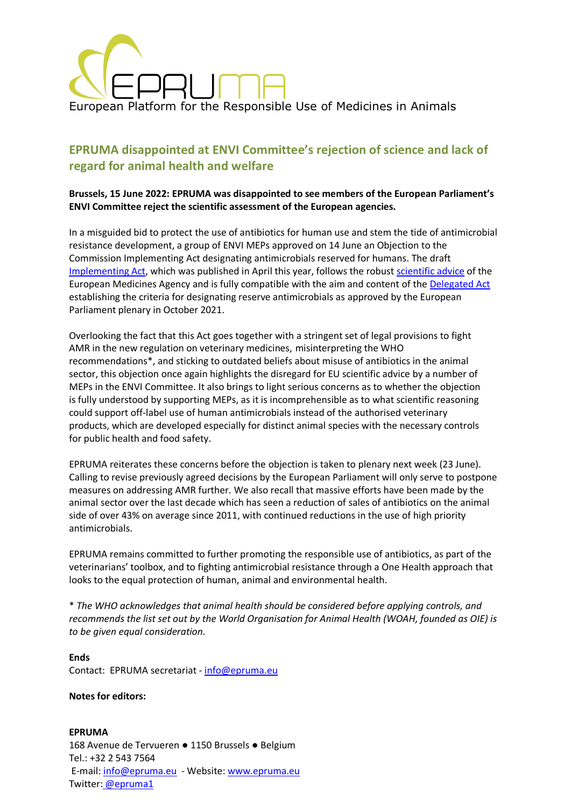

# **EPRUMA disappointed at ENVI Committee's rejection of science and lack of regard for animal health and welfare**

## **Brussels, 15 June 2022: EPRUMA was disappointed to see members of the European Parliament's ENVI Committee reject the scientific assessment of the European agencies.**

In a misguided bid to protect the use of antibiotics for human use and stem the tide of antimicrobial resistance development, a group of ENVI MEPs approved on 14 June an Objection to the Commission Implementing Act designating antimicrobials reserved for humans. The draft [Implementing Act,](https://ec.europa.eu/info/law/better-regulation/have-your-say/initiatives/11653-Drug-resistance-list-of-antimicrobial-medicines-reserved-for-treating-humans_en) which was published in April this year, follows the robust [scientific](https://www.ema.europa.eu/en/documents/regulatory-procedural-guideline/advice-designation-antimicrobials-groups-antimicrobials-reserved-treatment-certain-infections-humans/6-veterinary-medicinal-products_en.pdf) advice of the European Medicines Agency and is fully compatible with the aim and content of the [Delegated Act](https://eur-lex.europa.eu/legal-content/EN/ALL/?uri=CELEX:32021R1760) establishing the criteria for designating reserve antimicrobials as approved by the European Parliament plenary in October 2021.

Overlooking the fact that this Act goes together with a stringent set of legal provisions to fight AMR in the new regulation on veterinary medicines, misinterpreting the WHO recommendations\*, and sticking to outdated beliefs about misuse of antibiotics in the animal sector, this objection once again highlights the disregard for EU scientific advice by a number of MEPs in the ENVI Committee. It also brings to light serious concerns as to whether the objection is fully understood by supporting MEPs, as it is incomprehensible as to what scientific reasoning could support off-label use of human antimicrobials instead of the authorised veterinary products, which are developed especially for distinct animal species with the necessary controls for public health and food safety.

EPRUMA reiterates these concerns before the objection is taken to plenary next week (23 June). Calling to revise previously agreed decisions by the European Parliament will only serve to postpone measures on addressing AMR further. We also recall that massive efforts have been made by the animal sector over the last decade which has seen a reduction of sales of antibiotics on the animal side of over 43% on average since 2011, with continued reductions in the use of high priority antimicrobials.

EPRUMA remains committed to further promoting the responsible use of antibiotics, as part of the veterinarians' toolbox, and to fighting antimicrobial resistance through a One Health approach that looks to the equal protection of human, animal and environmental health.

\* *The WHO acknowledges that animal health should be considered before applying controls, and recommends the list set out by the World Organisation for Animal Health (WOAH, founded as OIE) is to be given equal consideration.*

#### **Ends** Contact: EPRUMA secretariat - [info@epruma.eu](mailto:info@epruma.eu)

#### **Notes for editors:**

**EPRUMA** 168 Avenue de Tervueren ● 1150 Brussels ● Belgium Tel.: +32 2 543 7564 E-mail: [info@epruma.eu](mailto:info@epruma.eu) - Website[: www.epruma.eu](http://www.epruma.eu/) Twitter: [@epruma1](https://twitter.com/epruma1)